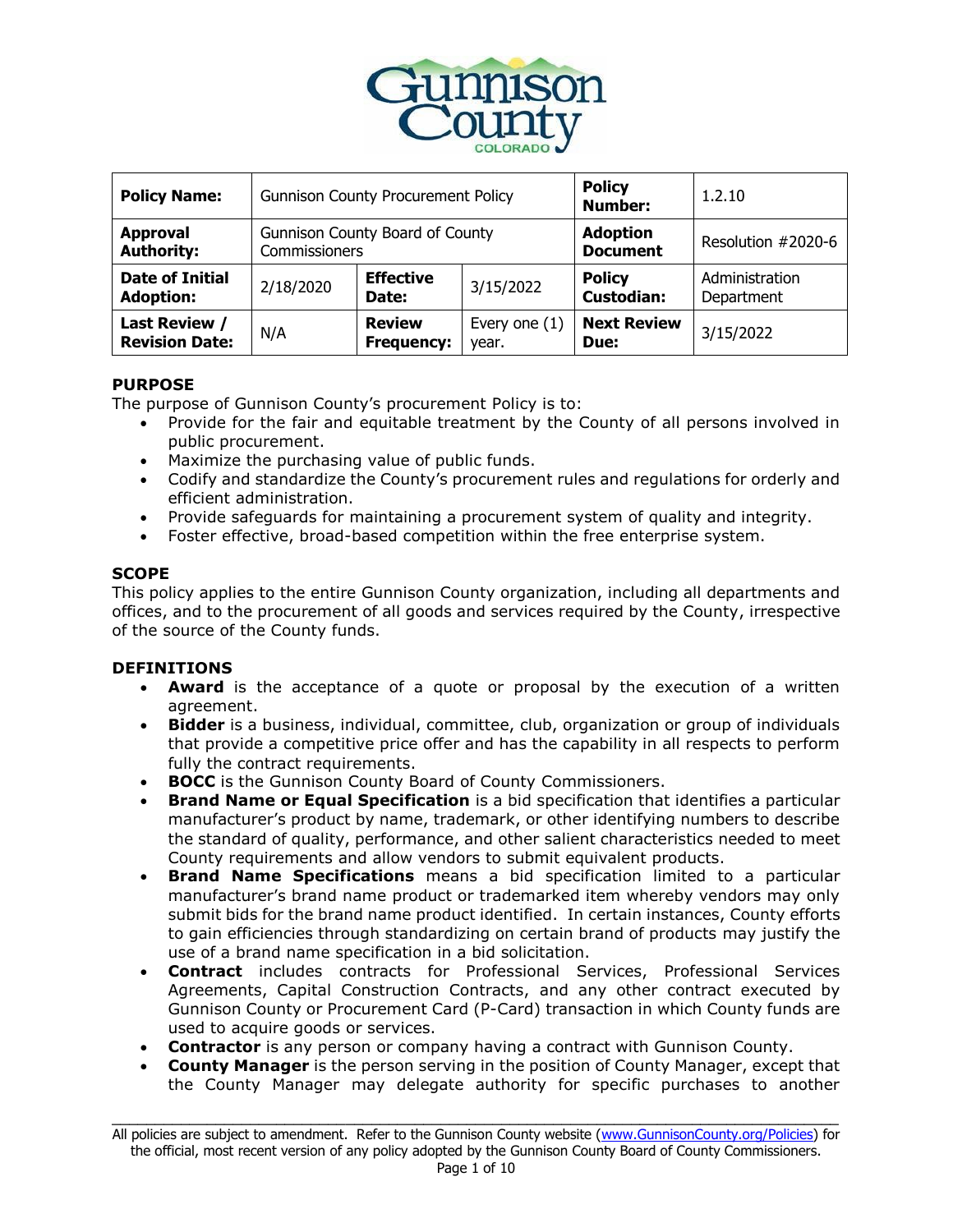

| <b>Policy Name:</b>                           | <b>Gunnison County Procurement Policy</b>               |                                    |                          | <b>Policy</b><br><b>Number:</b>    | 1.2.10                       |
|-----------------------------------------------|---------------------------------------------------------|------------------------------------|--------------------------|------------------------------------|------------------------------|
| <b>Approval</b><br><b>Authority:</b>          | <b>Gunnison County Board of County</b><br>Commissioners |                                    |                          | <b>Adoption</b><br><b>Document</b> | Resolution #2020-6           |
| <b>Date of Initial</b><br><b>Adoption:</b>    | 2/18/2020                                               | <b>Effective</b><br>Date:          | 3/15/2022                | <b>Policy</b><br><b>Custodian:</b> | Administration<br>Department |
| <b>Last Review /</b><br><b>Revision Date:</b> | N/A                                                     | <b>Review</b><br><b>Frequency:</b> | Every one $(1)$<br>year. | <b>Next Review</b><br>Due:         | 3/15/2022                    |

### **PURPOSE**

The purpose of Gunnison County's procurement Policy is to:

- Provide for the fair and equitable treatment by the County of all persons involved in public procurement.
- Maximize the purchasing value of public funds.
- Codify and standardize the County's procurement rules and regulations for orderly and efficient administration.
- Provide safeguards for maintaining a procurement system of quality and integrity.
- Foster effective, broad-based competition within the free enterprise system.

# **SCOPE**

This policy applies to the entire Gunnison County organization, including all departments and offices, and to the procurement of all goods and services required by the County, irrespective of the source of the County funds.

# **DEFINITIONS**

- **Award** is the acceptance of a quote or proposal by the execution of a written agreement.
- **Bidder** is a business, individual, committee, club, organization or group of individuals that provide a competitive price offer and has the capability in all respects to perform fully the contract requirements.
- **BOCC** is the Gunnison County Board of County Commissioners.
- **Brand Name or Equal Specification** is a bid specification that identifies a particular manufacturer's product by name, trademark, or other identifying numbers to describe the standard of quality, performance, and other salient characteristics needed to meet County requirements and allow vendors to submit equivalent products.
- **Brand Name Specifications** means a bid specification limited to a particular manufacturer's brand name product or trademarked item whereby vendors may only submit bids for the brand name product identified. In certain instances, County efforts to gain efficiencies through standardizing on certain brand of products may justify the use of a brand name specification in a bid solicitation.
- **Contract** includes contracts for Professional Services, Professional Services Agreements, Capital Construction Contracts, and any other contract executed by Gunnison County or Procurement Card (P-Card) transaction in which County funds are used to acquire goods or services.
- **Contractor** is any person or company having a contract with Gunnison County.
- **County Manager** is the person serving in the position of County Manager, except that the County Manager may delegate authority for specific purchases to another

\_\_\_\_\_\_\_\_\_\_\_\_\_\_\_\_\_\_\_\_\_\_\_\_\_\_\_\_\_\_\_\_\_\_\_\_\_\_\_\_\_\_\_\_\_\_\_\_\_\_\_\_\_\_\_\_\_\_\_\_\_\_\_\_\_\_\_\_\_\_\_\_\_\_\_\_\_\_\_\_\_\_\_\_ All policies are subject to amendment. Refer to the Gunnison County website [\(www.GunnisonCounty.org/Policies\)](http://www.gunnisoncounty.org/Policies) for the official, most recent version of any policy adopted by the Gunnison County Board of County Commissioners.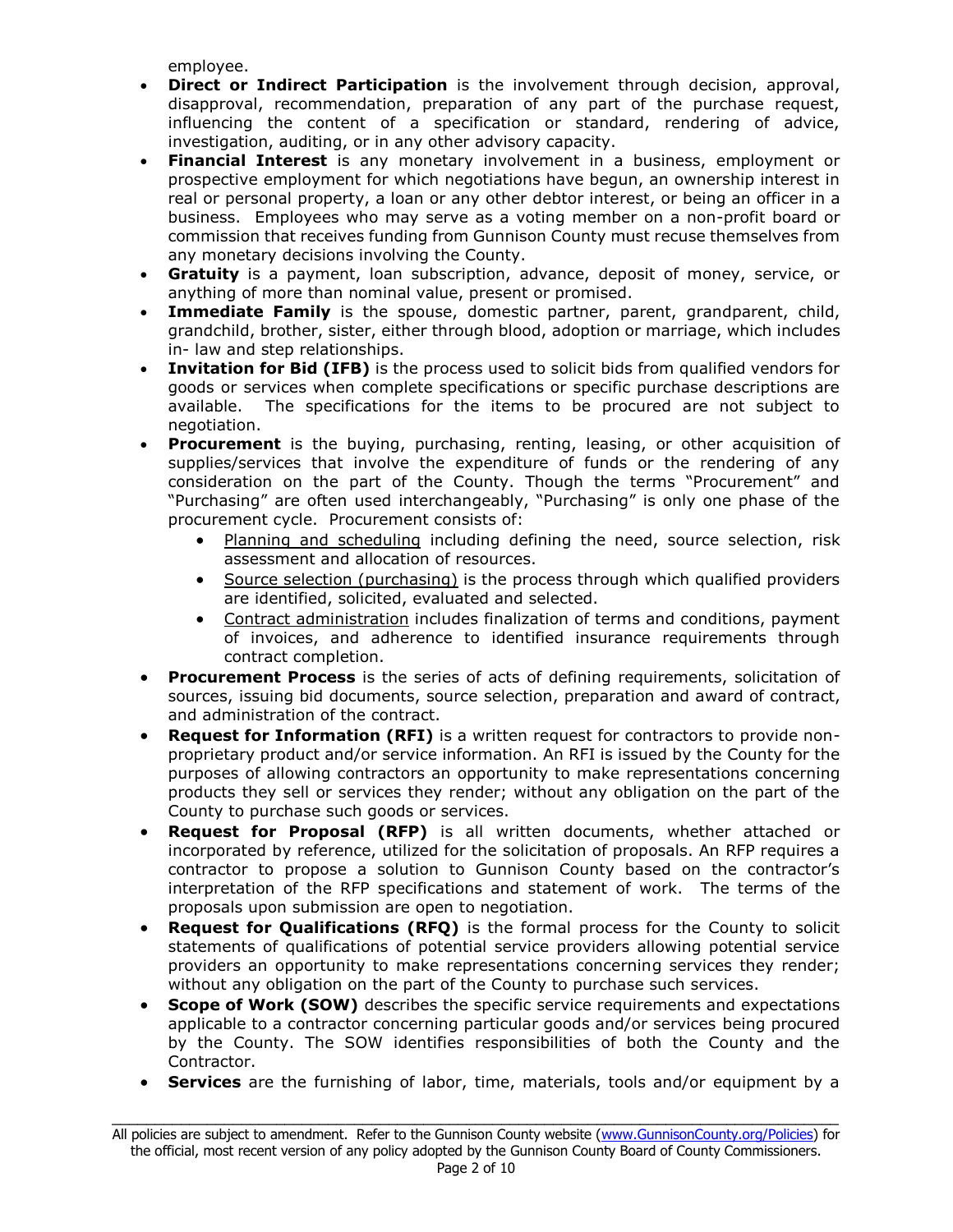employee.

- **Direct or Indirect Participation** is the involvement through decision, approval, disapproval, recommendation, preparation of any part of the purchase request, influencing the content of a specification or standard, rendering of advice, investigation, auditing, or in any other advisory capacity.
- **Financial Interest** is any monetary involvement in a business, employment or prospective employment for which negotiations have begun, an ownership interest in real or personal property, a loan or any other debtor interest, or being an officer in a business. Employees who may serve as a voting member on a non-profit board or commission that receives funding from Gunnison County must recuse themselves from any monetary decisions involving the County.
- **Gratuity** is a payment, loan subscription, advance, deposit of money, service, or anything of more than nominal value, present or promised.
- **Immediate Family** is the spouse, domestic partner, parent, grandparent, child, grandchild, brother, sister, either through blood, adoption or marriage, which includes in- law and step relationships.
- **Invitation for Bid (IFB)** is the process used to solicit bids from qualified vendors for goods or services when complete specifications or specific purchase descriptions are available. The specifications for the items to be procured are not subject to negotiation.
- **Procurement** is the buying, purchasing, renting, leasing, or other acquisition of supplies/services that involve the expenditure of funds or the rendering of any consideration on the part of the County. Though the terms "Procurement" and "Purchasing" are often used interchangeably, "Purchasing" is only one phase of the procurement cycle. Procurement consists of:
	- Planning and scheduling including defining the need, source selection, risk assessment and allocation of resources.
	- Source selection (purchasing) is the process through which qualified providers are identified, solicited, evaluated and selected.
	- Contract administration includes finalization of terms and conditions, payment of invoices, and adherence to identified insurance requirements through contract completion.
- **Procurement Process** is the series of acts of defining requirements, solicitation of sources, issuing bid documents, source selection, preparation and award of contract, and administration of the contract.
- **Request for Information (RFI)** is a written request for contractors to provide nonproprietary product and/or service information. An RFI is issued by the County for the purposes of allowing contractors an opportunity to make representations concerning products they sell or services they render; without any obligation on the part of the County to purchase such goods or services.
- **Request for Proposal (RFP)** is all written documents, whether attached or incorporated by reference, utilized for the solicitation of proposals. An RFP requires a contractor to propose a solution to Gunnison County based on the contractor's interpretation of the RFP specifications and statement of work. The terms of the proposals upon submission are open to negotiation.
- **Request for Qualifications (RFQ)** is the formal process for the County to solicit statements of qualifications of potential service providers allowing potential service providers an opportunity to make representations concerning services they render; without any obligation on the part of the County to purchase such services.
- **Scope of Work (SOW)** describes the specific service requirements and expectations applicable to a contractor concerning particular goods and/or services being procured by the County. The SOW identifies responsibilities of both the County and the Contractor.
- **Services** are the furnishing of labor, time, materials, tools and/or equipment by a

\_\_\_\_\_\_\_\_\_\_\_\_\_\_\_\_\_\_\_\_\_\_\_\_\_\_\_\_\_\_\_\_\_\_\_\_\_\_\_\_\_\_\_\_\_\_\_\_\_\_\_\_\_\_\_\_\_\_\_\_\_\_\_\_\_\_\_\_\_\_\_\_\_\_\_\_\_\_\_\_\_\_\_\_ All policies are subject to amendment. Refer to the Gunnison County website [\(www.GunnisonCounty.org/Policies\)](http://www.gunnisoncounty.org/Policies) for the official, most recent version of any policy adopted by the Gunnison County Board of County Commissioners.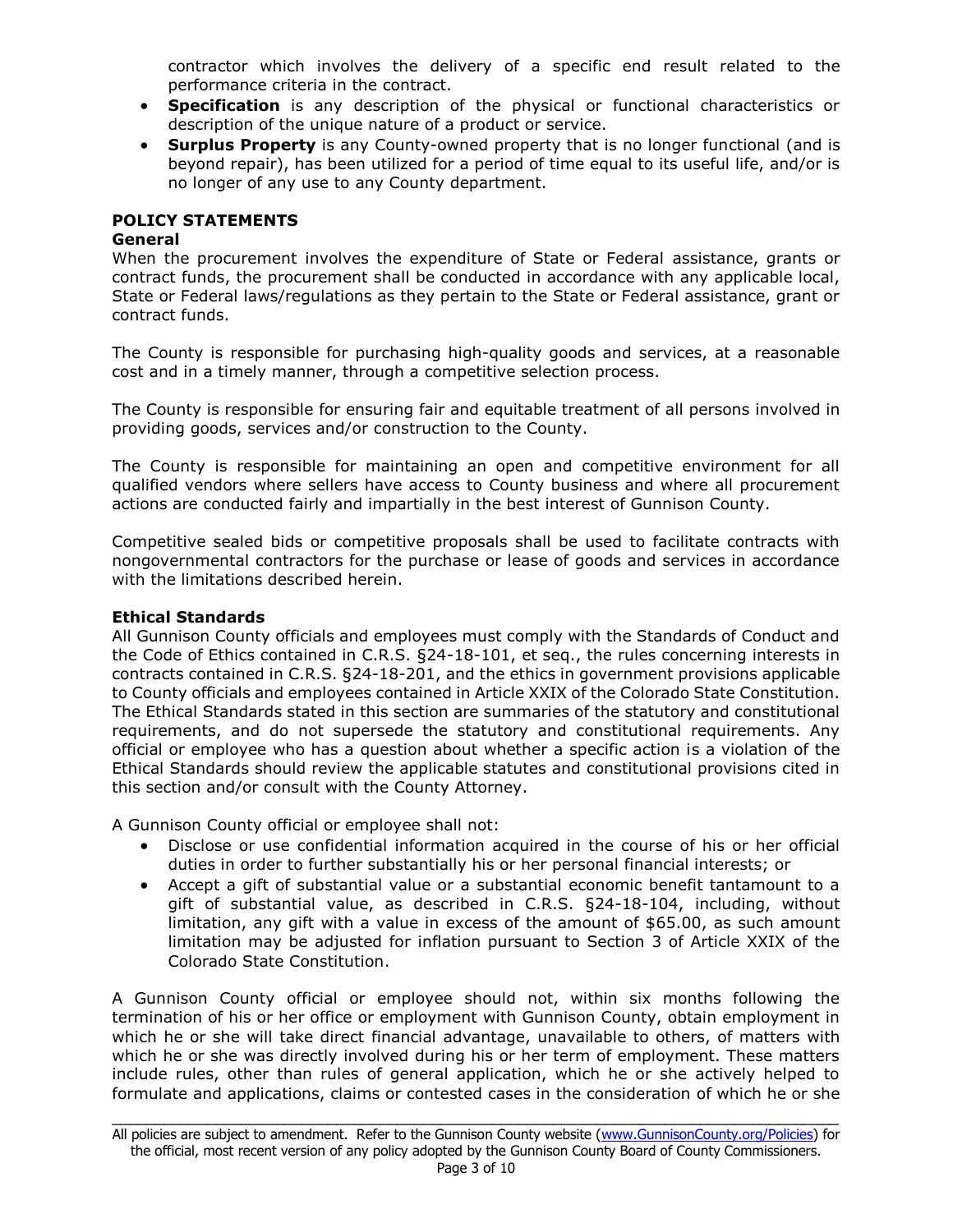contractor which involves the delivery of a specific end result related to the performance criteria in the contract.

- **Specification** is any description of the physical or functional characteristics or description of the unique nature of a product or service.
- **Surplus Property** is any County-owned property that is no longer functional (and is beyond repair), has been utilized for a period of time equal to its useful life, and/or is no longer of any use to any County department.

### **POLICY STATEMENTS**

### **General**

When the procurement involves the expenditure of State or Federal assistance, grants or contract funds, the procurement shall be conducted in accordance with any applicable local, State or Federal laws/regulations as they pertain to the State or Federal assistance, grant or contract funds.

The County is responsible for purchasing high-quality goods and services, at a reasonable cost and in a timely manner, through a competitive selection process.

The County is responsible for ensuring fair and equitable treatment of all persons involved in providing goods, services and/or construction to the County.

The County is responsible for maintaining an open and competitive environment for all qualified vendors where sellers have access to County business and where all procurement actions are conducted fairly and impartially in the best interest of Gunnison County.

Competitive sealed bids or competitive proposals shall be used to facilitate contracts with nongovernmental contractors for the purchase or lease of goods and services in accordance with the limitations described herein.

### **Ethical Standards**

All Gunnison County officials and employees must comply with the Standards of Conduct and the Code of Ethics contained in C.R.S. §24-18-101, et seq., the rules concerning interests in contracts contained in C.R.S. §24-18-201, and the ethics in government provisions applicable to County officials and employees contained in Article XXIX of the Colorado State Constitution. The Ethical Standards stated in this section are summaries of the statutory and constitutional requirements, and do not supersede the statutory and constitutional requirements. Any official or employee who has a question about whether a specific action is a violation of the Ethical Standards should review the applicable statutes and constitutional provisions cited in this section and/or consult with the County Attorney.

A Gunnison County official or employee shall not:

- Disclose or use confidential information acquired in the course of his or her official duties in order to further substantially his or her personal financial interests; or
- Accept a gift of substantial value or a substantial economic benefit tantamount to a gift of substantial value, as described in C.R.S. §24-18-104, including, without limitation, any gift with a value in excess of the amount of \$65.00, as such amount limitation may be adjusted for inflation pursuant to Section 3 of Article XXIX of the Colorado State Constitution.

A Gunnison County official or employee should not, within six months following the termination of his or her office or employment with Gunnison County, obtain employment in which he or she will take direct financial advantage, unavailable to others, of matters with which he or she was directly involved during his or her term of employment. These matters include rules, other than rules of general application, which he or she actively helped to formulate and applications, claims or contested cases in the consideration of which he or she

\_\_\_\_\_\_\_\_\_\_\_\_\_\_\_\_\_\_\_\_\_\_\_\_\_\_\_\_\_\_\_\_\_\_\_\_\_\_\_\_\_\_\_\_\_\_\_\_\_\_\_\_\_\_\_\_\_\_\_\_\_\_\_\_\_\_\_\_\_\_\_\_\_\_\_\_\_\_\_\_\_\_\_\_ All policies are subject to amendment. Refer to the Gunnison County website [\(www.GunnisonCounty.org/Policies\)](http://www.gunnisoncounty.org/Policies) for the official, most recent version of any policy adopted by the Gunnison County Board of County Commissioners.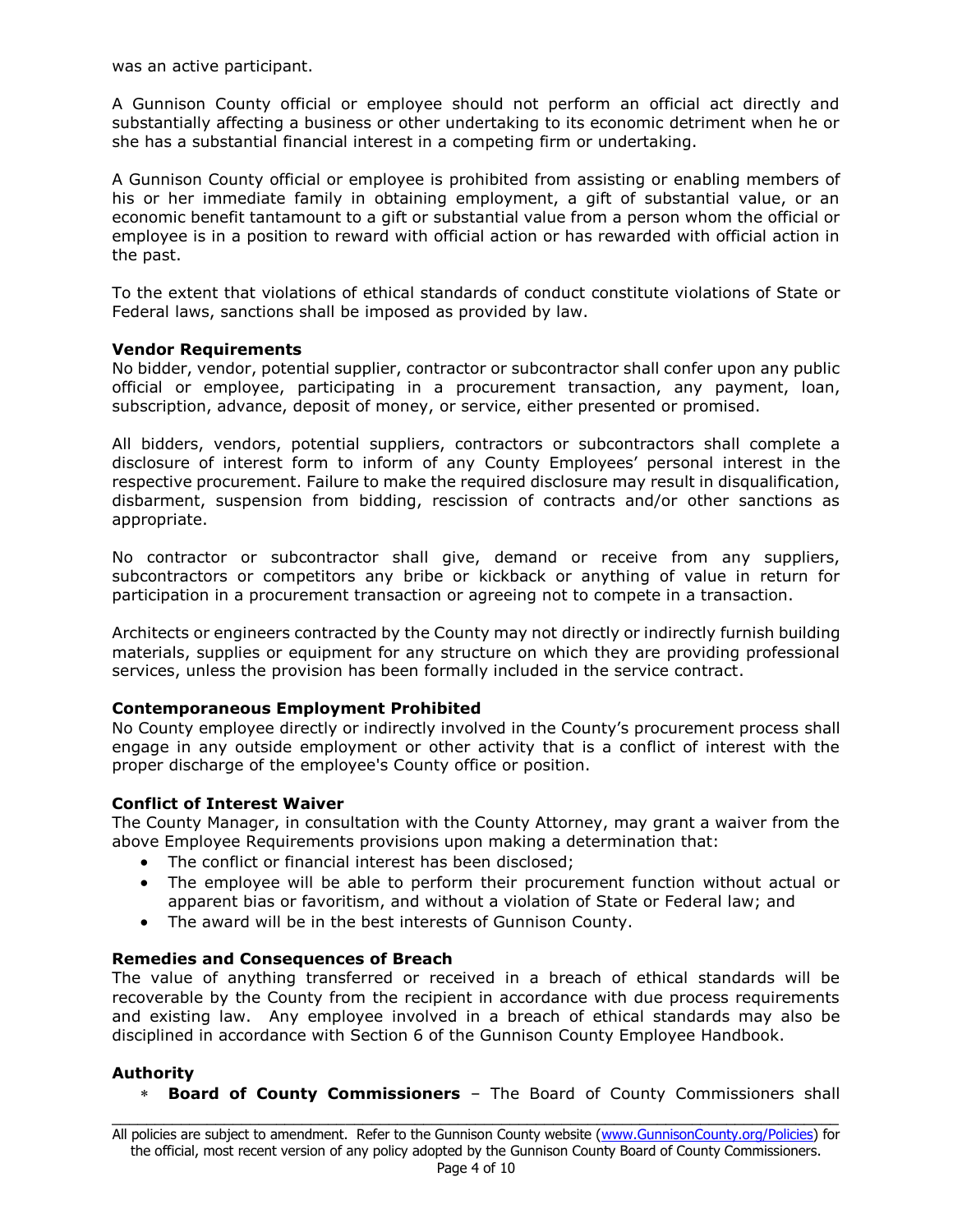was an active participant.

A Gunnison County official or employee should not perform an official act directly and substantially affecting a business or other undertaking to its economic detriment when he or she has a substantial financial interest in a competing firm or undertaking.

A Gunnison County official or employee is prohibited from assisting or enabling members of his or her immediate family in obtaining employment, a gift of substantial value, or an economic benefit tantamount to a gift or substantial value from a person whom the official or employee is in a position to reward with official action or has rewarded with official action in the past.

To the extent that violations of ethical standards of conduct constitute violations of State or Federal laws, sanctions shall be imposed as provided by law.

### **Vendor Requirements**

No bidder, vendor, potential supplier, contractor or subcontractor shall confer upon any public official or employee, participating in a procurement transaction, any payment, loan, subscription, advance, deposit of money, or service, either presented or promised.

All bidders, vendors, potential suppliers, contractors or subcontractors shall complete a disclosure of interest form to inform of any County Employees' personal interest in the respective procurement. Failure to make the required disclosure may result in disqualification, disbarment, suspension from bidding, rescission of contracts and/or other sanctions as appropriate.

No contractor or subcontractor shall give, demand or receive from any suppliers, subcontractors or competitors any bribe or kickback or anything of value in return for participation in a procurement transaction or agreeing not to compete in a transaction.

Architects or engineers contracted by the County may not directly or indirectly furnish building materials, supplies or equipment for any structure on which they are providing professional services, unless the provision has been formally included in the service contract.

### **Contemporaneous Employment Prohibited**

No County employee directly or indirectly involved in the County's procurement process shall engage in any outside employment or other activity that is a conflict of interest with the proper discharge of the employee's County office or position.

### **Conflict of Interest Waiver**

The County Manager, in consultation with the County Attorney, may grant a waiver from the above Employee Requirements provisions upon making a determination that:

- The conflict or financial interest has been disclosed;
- The employee will be able to perform their procurement function without actual or apparent bias or favoritism, and without a violation of State or Federal law; and
- The award will be in the best interests of Gunnison County.

### **Remedies and Consequences of Breach**

The value of anything transferred or received in a breach of ethical standards will be recoverable by the County from the recipient in accordance with due process requirements and existing law. Any employee involved in a breach of ethical standards may also be disciplined in accordance with Section 6 of the Gunnison County Employee Handbook.

### **Authority**

**Board of County Commissioners** – The Board of County Commissioners shall

\_\_\_\_\_\_\_\_\_\_\_\_\_\_\_\_\_\_\_\_\_\_\_\_\_\_\_\_\_\_\_\_\_\_\_\_\_\_\_\_\_\_\_\_\_\_\_\_\_\_\_\_\_\_\_\_\_\_\_\_\_\_\_\_\_\_\_\_\_\_\_\_\_\_\_\_\_\_\_\_\_\_\_\_ All policies are subject to amendment. Refer to the Gunnison County website [\(www.GunnisonCounty.org/Policies\)](http://www.gunnisoncounty.org/Policies) for the official, most recent version of any policy adopted by the Gunnison County Board of County Commissioners.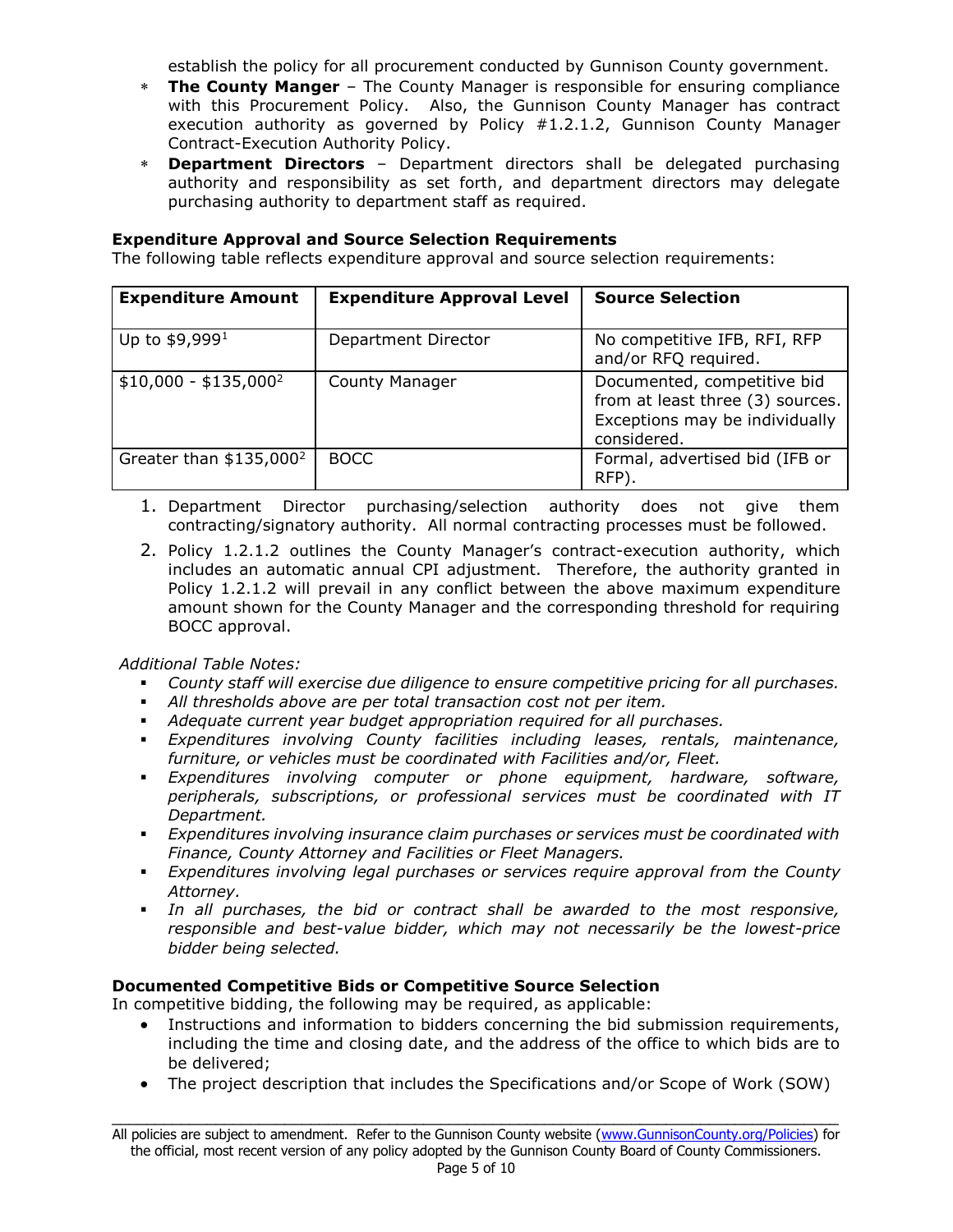establish the policy for all procurement conducted by Gunnison County government.

- **The County Manger** The County Manager is responsible for ensuring compliance with this Procurement Policy. Also, the Gunnison County Manager has contract execution authority as governed by Policy #1.2.1.2, Gunnison County Manager Contract-Execution Authority Policy.
- **Department Directors** Department directors shall be delegated purchasing authority and responsibility as set forth, and department directors may delegate purchasing authority to department staff as required.

### **Expenditure Approval and Source Selection Requirements**

The following table reflects expenditure approval and source selection requirements:

| <b>Expenditure Amount</b> | <b>Expenditure Approval Level</b> | <b>Source Selection</b>                                                                                          |
|---------------------------|-----------------------------------|------------------------------------------------------------------------------------------------------------------|
| Up to $$9,9991$           | Department Director               | No competitive IFB, RFI, RFP<br>and/or RFQ required.                                                             |
| $$10,000 - $135,000^2$    | <b>County Manager</b>             | Documented, competitive bid<br>from at least three (3) sources.<br>Exceptions may be individually<br>considered. |
| Greater than $$135,000^2$ | <b>BOCC</b>                       | Formal, advertised bid (IFB or<br>RFP).                                                                          |

- 1. Department Director purchasing/selection authority does not give them contracting/signatory authority. All normal contracting processes must be followed.
- 2. Policy 1.2.1.2 outlines the County Manager's contract-execution authority, which includes an automatic annual CPI adjustment. Therefore, the authority granted in Policy 1.2.1.2 will prevail in any conflict between the above maximum expenditure amount shown for the County Manager and the corresponding threshold for requiring BOCC approval.

# *Additional Table Notes:*

- *County staff will exercise due diligence to ensure competitive pricing for all purchases.*
- *All thresholds above are per total transaction cost not per item.*
- *Adequate current year budget appropriation required for all purchases.*
- *Expenditures involving County facilities including leases, rentals, maintenance, furniture, or vehicles must be coordinated with Facilities and/or, Fleet.*
- *Expenditures involving computer or phone equipment, hardware, software, peripherals, subscriptions, or professional services must be coordinated with IT Department.*
- *Expenditures involving insurance claim purchases or services must be coordinated with Finance, County Attorney and Facilities or Fleet Managers.*
- *Expenditures involving legal purchases or services require approval from the County Attorney.*
- *In all purchases, the bid or contract shall be awarded to the most responsive, responsible and best-value bidder, which may not necessarily be the lowest-price bidder being selected.*

# **Documented Competitive Bids or Competitive Source Selection**

In competitive bidding, the following may be required, as applicable:

- Instructions and information to bidders concerning the bid submission requirements, including the time and closing date, and the address of the office to which bids are to be delivered;
- The project description that includes the Specifications and/or Scope of Work (SOW)

\_\_\_\_\_\_\_\_\_\_\_\_\_\_\_\_\_\_\_\_\_\_\_\_\_\_\_\_\_\_\_\_\_\_\_\_\_\_\_\_\_\_\_\_\_\_\_\_\_\_\_\_\_\_\_\_\_\_\_\_\_\_\_\_\_\_\_\_\_\_\_\_\_\_\_\_\_\_\_\_\_\_\_\_ All policies are subject to amendment. Refer to the Gunnison County website [\(www.GunnisonCounty.org/Policies\)](http://www.gunnisoncounty.org/Policies) for the official, most recent version of any policy adopted by the Gunnison County Board of County Commissioners.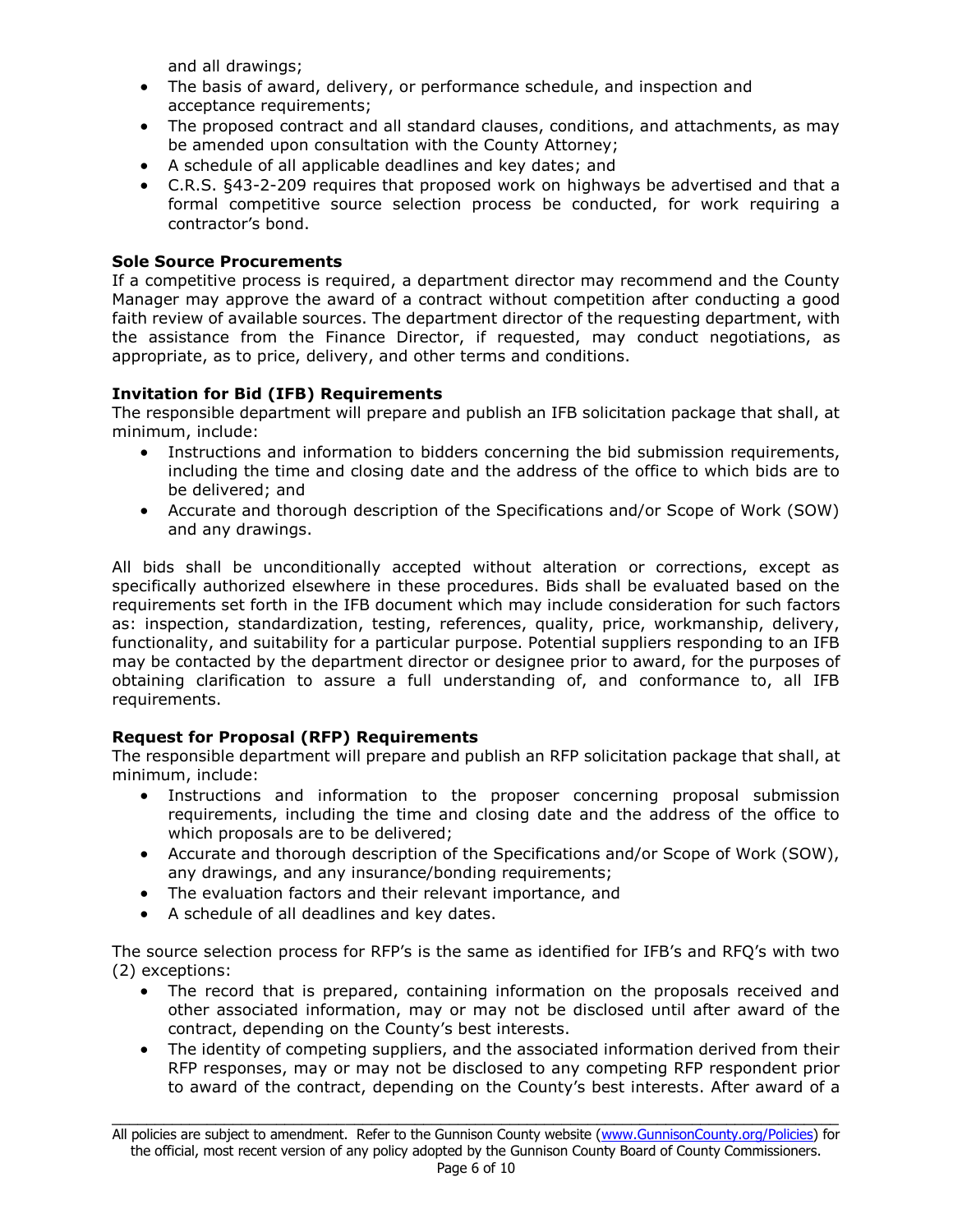and all drawings;

- The basis of award, delivery, or performance schedule, and inspection and acceptance requirements;
- The proposed contract and all standard clauses, conditions, and attachments, as may be amended upon consultation with the County Attorney;
- A schedule of all applicable deadlines and key dates; and
- C.R.S. §43-2-209 requires that proposed work on highways be advertised and that a formal competitive source selection process be conducted, for work requiring a contractor's bond.

### **Sole Source Procurements**

If a competitive process is required, a department director may recommend and the County Manager may approve the award of a contract without competition after conducting a good faith review of available sources. The department director of the requesting department, with the assistance from the Finance Director, if requested, may conduct negotiations, as appropriate, as to price, delivery, and other terms and conditions.

### **Invitation for Bid (IFB) Requirements**

The responsible department will prepare and publish an IFB solicitation package that shall, at minimum, include:

- Instructions and information to bidders concerning the bid submission requirements, including the time and closing date and the address of the office to which bids are to be delivered; and
- Accurate and thorough description of the Specifications and/or Scope of Work (SOW) and any drawings.

All bids shall be unconditionally accepted without alteration or corrections, except as specifically authorized elsewhere in these procedures. Bids shall be evaluated based on the requirements set forth in the IFB document which may include consideration for such factors as: inspection, standardization, testing, references, quality, price, workmanship, delivery, functionality, and suitability for a particular purpose. Potential suppliers responding to an IFB may be contacted by the department director or designee prior to award, for the purposes of obtaining clarification to assure a full understanding of, and conformance to, all IFB requirements.

# **Request for Proposal (RFP) Requirements**

The responsible department will prepare and publish an RFP solicitation package that shall, at minimum, include:

- Instructions and information to the proposer concerning proposal submission requirements, including the time and closing date and the address of the office to which proposals are to be delivered;
- Accurate and thorough description of the Specifications and/or Scope of Work (SOW), any drawings, and any insurance/bonding requirements;
- The evaluation factors and their relevant importance, and
- A schedule of all deadlines and key dates.

The source selection process for RFP's is the same as identified for IFB's and RFQ's with two (2) exceptions:

- The record that is prepared, containing information on the proposals received and other associated information, may or may not be disclosed until after award of the contract, depending on the County's best interests.
- The identity of competing suppliers, and the associated information derived from their RFP responses, may or may not be disclosed to any competing RFP respondent prior to award of the contract, depending on the County's best interests. After award of a

\_\_\_\_\_\_\_\_\_\_\_\_\_\_\_\_\_\_\_\_\_\_\_\_\_\_\_\_\_\_\_\_\_\_\_\_\_\_\_\_\_\_\_\_\_\_\_\_\_\_\_\_\_\_\_\_\_\_\_\_\_\_\_\_\_\_\_\_\_\_\_\_\_\_\_\_\_\_\_\_\_\_\_\_ All policies are subject to amendment. Refer to the Gunnison County website [\(www.GunnisonCounty.org/Policies\)](http://www.gunnisoncounty.org/Policies) for the official, most recent version of any policy adopted by the Gunnison County Board of County Commissioners.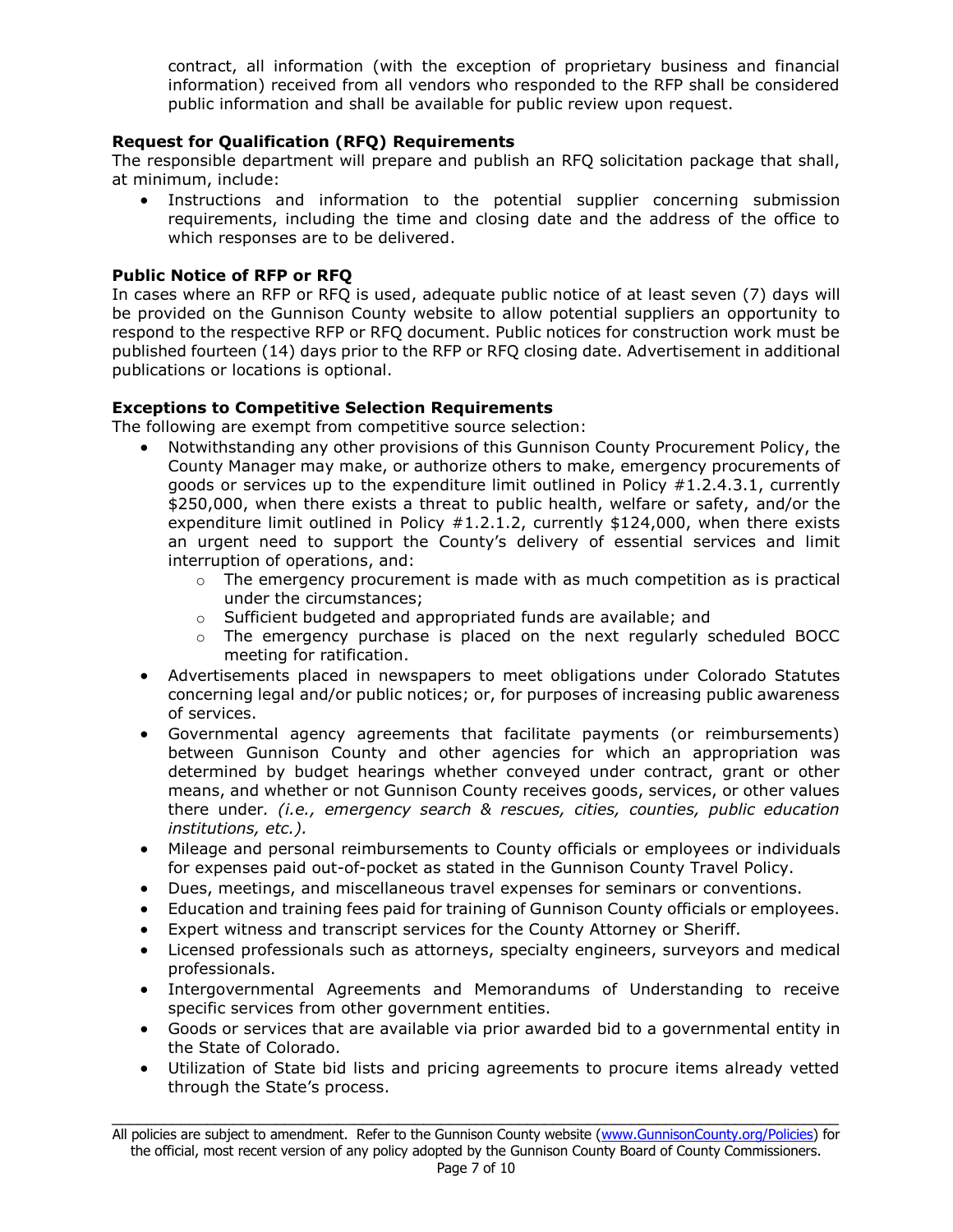contract, all information (with the exception of proprietary business and financial information) received from all vendors who responded to the RFP shall be considered public information and shall be available for public review upon request.

# **Request for Qualification (RFQ) Requirements**

The responsible department will prepare and publish an RFQ solicitation package that shall, at minimum, include:

• Instructions and information to the potential supplier concerning submission requirements, including the time and closing date and the address of the office to which responses are to be delivered.

# **Public Notice of RFP or RFQ**

In cases where an RFP or RFQ is used, adequate public notice of at least seven (7) days will be provided on the Gunnison County website to allow potential suppliers an opportunity to respond to the respective RFP or RFQ document. Public notices for construction work must be published fourteen (14) days prior to the RFP or RFQ closing date. Advertisement in additional publications or locations is optional.

### **Exceptions to Competitive Selection Requirements**

The following are exempt from competitive source selection:

- Notwithstanding any other provisions of this Gunnison County Procurement Policy, the County Manager may make, or authorize others to make, emergency procurements of goods or services up to the expenditure limit outlined in Policy #1.2.4.3.1, currently \$250,000, when there exists a threat to public health, welfare or safety, and/or the expenditure limit outlined in Policy  $#1.2.1.2$ , currently \$124,000, when there exists an urgent need to support the County's delivery of essential services and limit interruption of operations, and:
	- $\circ$  The emergency procurement is made with as much competition as is practical under the circumstances;
	- o Sufficient budgeted and appropriated funds are available; and
	- $\circ$  The emergency purchase is placed on the next regularly scheduled BOCC meeting for ratification.
- Advertisements placed in newspapers to meet obligations under Colorado Statutes concerning legal and/or public notices; or, for purposes of increasing public awareness of services.
- Governmental agency agreements that facilitate payments (or reimbursements) between Gunnison County and other agencies for which an appropriation was determined by budget hearings whether conveyed under contract, grant or other means, and whether or not Gunnison County receives goods, services, or other values there under*. (i.e., emergency search & rescues, cities, counties, public education institutions, etc.).*
- Mileage and personal reimbursements to County officials or employees or individuals for expenses paid out-of-pocket as stated in the Gunnison County Travel Policy.
- Dues, meetings, and miscellaneous travel expenses for seminars or conventions.
- Education and training fees paid for training of Gunnison County officials or employees.
- Expert witness and transcript services for the County Attorney or Sheriff.
- Licensed professionals such as attorneys, specialty engineers, surveyors and medical professionals.
- Intergovernmental Agreements and Memorandums of Understanding to receive specific services from other government entities.
- Goods or services that are available via prior awarded bid to a governmental entity in the State of Colorado.
- Utilization of State bid lists and pricing agreements to procure items already vetted through the State's process.

\_\_\_\_\_\_\_\_\_\_\_\_\_\_\_\_\_\_\_\_\_\_\_\_\_\_\_\_\_\_\_\_\_\_\_\_\_\_\_\_\_\_\_\_\_\_\_\_\_\_\_\_\_\_\_\_\_\_\_\_\_\_\_\_\_\_\_\_\_\_\_\_\_\_\_\_\_\_\_\_\_\_\_\_ All policies are subject to amendment. Refer to the Gunnison County website [\(www.GunnisonCounty.org/Policies\)](http://www.gunnisoncounty.org/Policies) for the official, most recent version of any policy adopted by the Gunnison County Board of County Commissioners.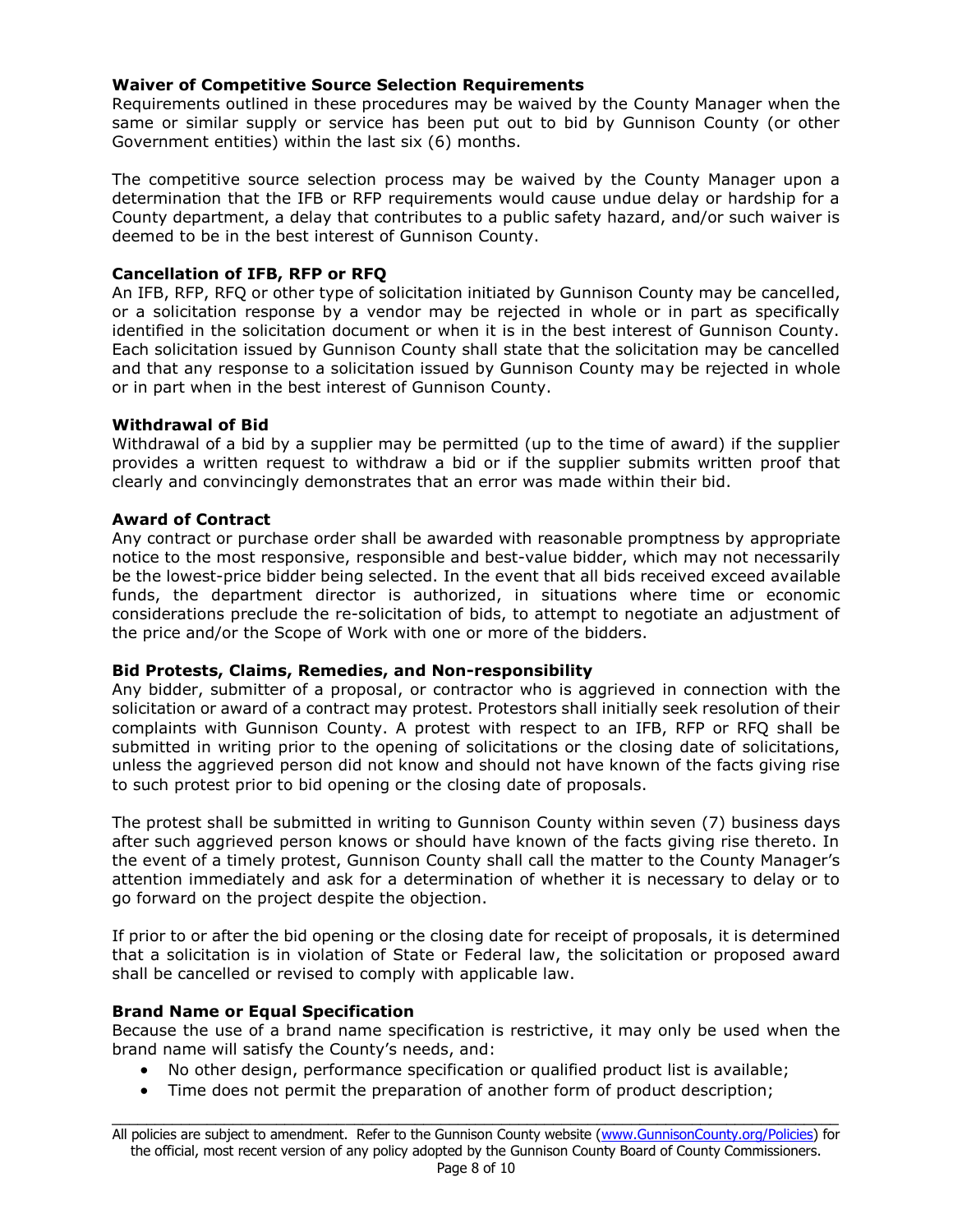### **Waiver of Competitive Source Selection Requirements**

Requirements outlined in these procedures may be waived by the County Manager when the same or similar supply or service has been put out to bid by Gunnison County (or other Government entities) within the last six (6) months.

The competitive source selection process may be waived by the County Manager upon a determination that the IFB or RFP requirements would cause undue delay or hardship for a County department, a delay that contributes to a public safety hazard, and/or such waiver is deemed to be in the best interest of Gunnison County.

### **Cancellation of IFB, RFP or RFQ**

An IFB, RFP, RFQ or other type of solicitation initiated by Gunnison County may be cancelled, or a solicitation response by a vendor may be rejected in whole or in part as specifically identified in the solicitation document or when it is in the best interest of Gunnison County. Each solicitation issued by Gunnison County shall state that the solicitation may be cancelled and that any response to a solicitation issued by Gunnison County may be rejected in whole or in part when in the best interest of Gunnison County.

### **Withdrawal of Bid**

Withdrawal of a bid by a supplier may be permitted (up to the time of award) if the supplier provides a written request to withdraw a bid or if the supplier submits written proof that clearly and convincingly demonstrates that an error was made within their bid.

### **Award of Contract**

Any contract or purchase order shall be awarded with reasonable promptness by appropriate notice to the most responsive, responsible and best-value bidder, which may not necessarily be the lowest-price bidder being selected. In the event that all bids received exceed available funds, the department director is authorized, in situations where time or economic considerations preclude the re-solicitation of bids, to attempt to negotiate an adjustment of the price and/or the Scope of Work with one or more of the bidders.

### **Bid Protests, Claims, Remedies, and Non-responsibility**

Any bidder, submitter of a proposal, or contractor who is aggrieved in connection with the solicitation or award of a contract may protest. Protestors shall initially seek resolution of their complaints with Gunnison County. A protest with respect to an IFB, RFP or RFQ shall be submitted in writing prior to the opening of solicitations or the closing date of solicitations, unless the aggrieved person did not know and should not have known of the facts giving rise to such protest prior to bid opening or the closing date of proposals.

The protest shall be submitted in writing to Gunnison County within seven (7) business days after such aggrieved person knows or should have known of the facts giving rise thereto. In the event of a timely protest, Gunnison County shall call the matter to the County Manager's attention immediately and ask for a determination of whether it is necessary to delay or to go forward on the project despite the objection.

If prior to or after the bid opening or the closing date for receipt of proposals, it is determined that a solicitation is in violation of State or Federal law, the solicitation or proposed award shall be cancelled or revised to comply with applicable law.

### **Brand Name or Equal Specification**

Because the use of a brand name specification is restrictive, it may only be used when the brand name will satisfy the County's needs, and:

- No other design, performance specification or qualified product list is available;
- Time does not permit the preparation of another form of product description;

\_\_\_\_\_\_\_\_\_\_\_\_\_\_\_\_\_\_\_\_\_\_\_\_\_\_\_\_\_\_\_\_\_\_\_\_\_\_\_\_\_\_\_\_\_\_\_\_\_\_\_\_\_\_\_\_\_\_\_\_\_\_\_\_\_\_\_\_\_\_\_\_\_\_\_\_\_\_\_\_\_\_\_\_ All policies are subject to amendment. Refer to the Gunnison County website [\(www.GunnisonCounty.org/Policies\)](http://www.gunnisoncounty.org/Policies) for the official, most recent version of any policy adopted by the Gunnison County Board of County Commissioners.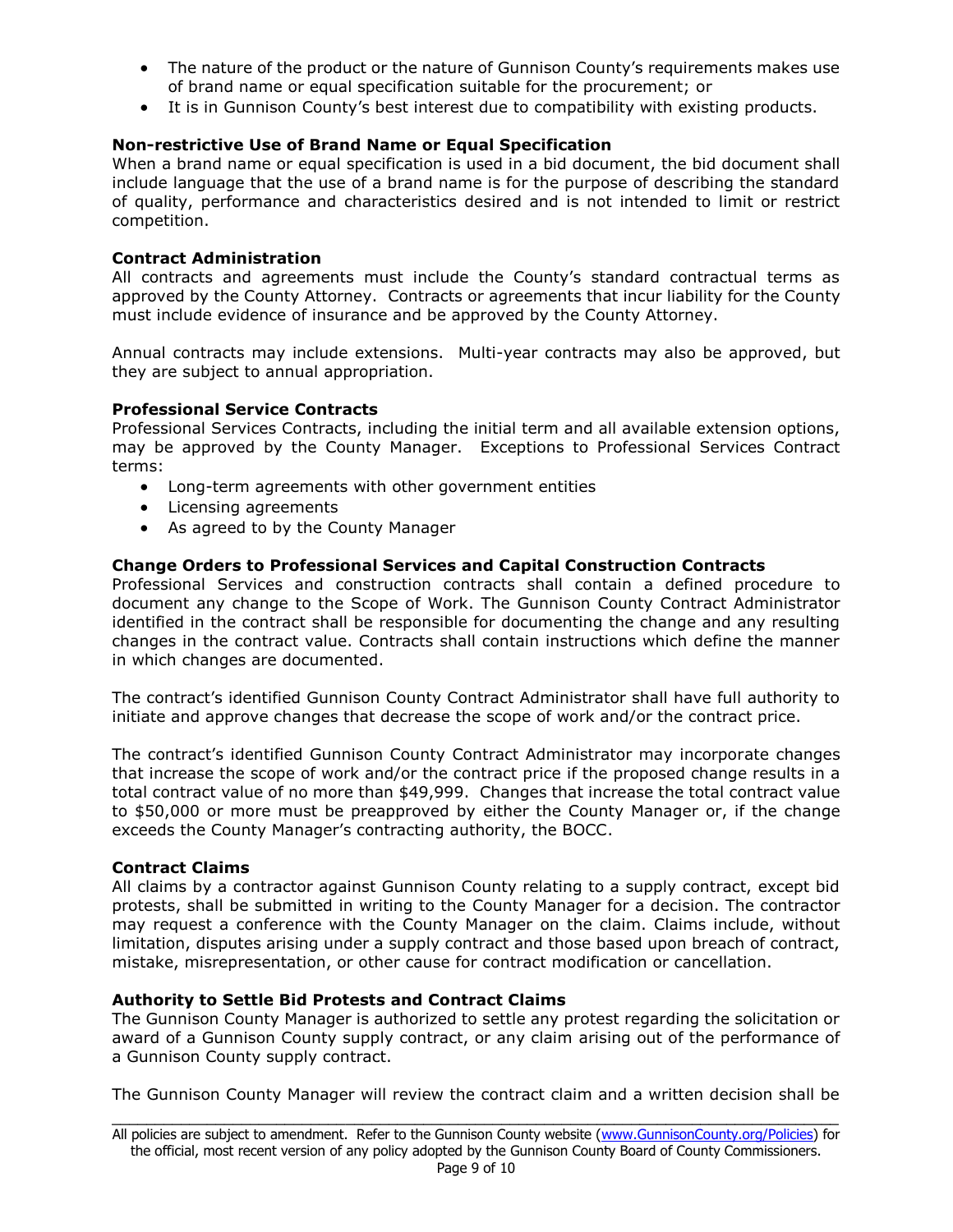- The nature of the product or the nature of Gunnison County's requirements makes use of brand name or equal specification suitable for the procurement; or
- It is in Gunnison County's best interest due to compatibility with existing products.

# **Non-restrictive Use of Brand Name or Equal Specification**

When a brand name or equal specification is used in a bid document, the bid document shall include language that the use of a brand name is for the purpose of describing the standard of quality, performance and characteristics desired and is not intended to limit or restrict competition.

# **Contract Administration**

All contracts and agreements must include the County's standard contractual terms as approved by the County Attorney. Contracts or agreements that incur liability for the County must include evidence of insurance and be approved by the County Attorney.

Annual contracts may include extensions. Multi-year contracts may also be approved, but they are subject to annual appropriation.

### **Professional Service Contracts**

Professional Services Contracts, including the initial term and all available extension options, may be approved by the County Manager. Exceptions to Professional Services Contract terms:

- Long-term agreements with other government entities
- Licensing agreements
- As agreed to by the County Manager

### **Change Orders to Professional Services and Capital Construction Contracts**

Professional Services and construction contracts shall contain a defined procedure to document any change to the Scope of Work. The Gunnison County Contract Administrator identified in the contract shall be responsible for documenting the change and any resulting changes in the contract value. Contracts shall contain instructions which define the manner in which changes are documented.

The contract's identified Gunnison County Contract Administrator shall have full authority to initiate and approve changes that decrease the scope of work and/or the contract price.

The contract's identified Gunnison County Contract Administrator may incorporate changes that increase the scope of work and/or the contract price if the proposed change results in a total contract value of no more than \$49,999. Changes that increase the total contract value to \$50,000 or more must be preapproved by either the County Manager or, if the change exceeds the County Manager's contracting authority, the BOCC.

### **Contract Claims**

All claims by a contractor against Gunnison County relating to a supply contract, except bid protests, shall be submitted in writing to the County Manager for a decision. The contractor may request a conference with the County Manager on the claim. Claims include, without limitation, disputes arising under a supply contract and those based upon breach of contract, mistake, misrepresentation, or other cause for contract modification or cancellation.

### **Authority to Settle Bid Protests and Contract Claims**

The Gunnison County Manager is authorized to settle any protest regarding the solicitation or award of a Gunnison County supply contract, or any claim arising out of the performance of a Gunnison County supply contract.

\_\_\_\_\_\_\_\_\_\_\_\_\_\_\_\_\_\_\_\_\_\_\_\_\_\_\_\_\_\_\_\_\_\_\_\_\_\_\_\_\_\_\_\_\_\_\_\_\_\_\_\_\_\_\_\_\_\_\_\_\_\_\_\_\_\_\_\_\_\_\_\_\_\_\_\_\_\_\_\_\_\_\_\_ The Gunnison County Manager will review the contract claim and a written decision shall be

All policies are subject to amendment. Refer to the Gunnison County website [\(www.GunnisonCounty.org/Policies\)](http://www.gunnisoncounty.org/Policies) for the official, most recent version of any policy adopted by the Gunnison County Board of County Commissioners. Page 9 of 10